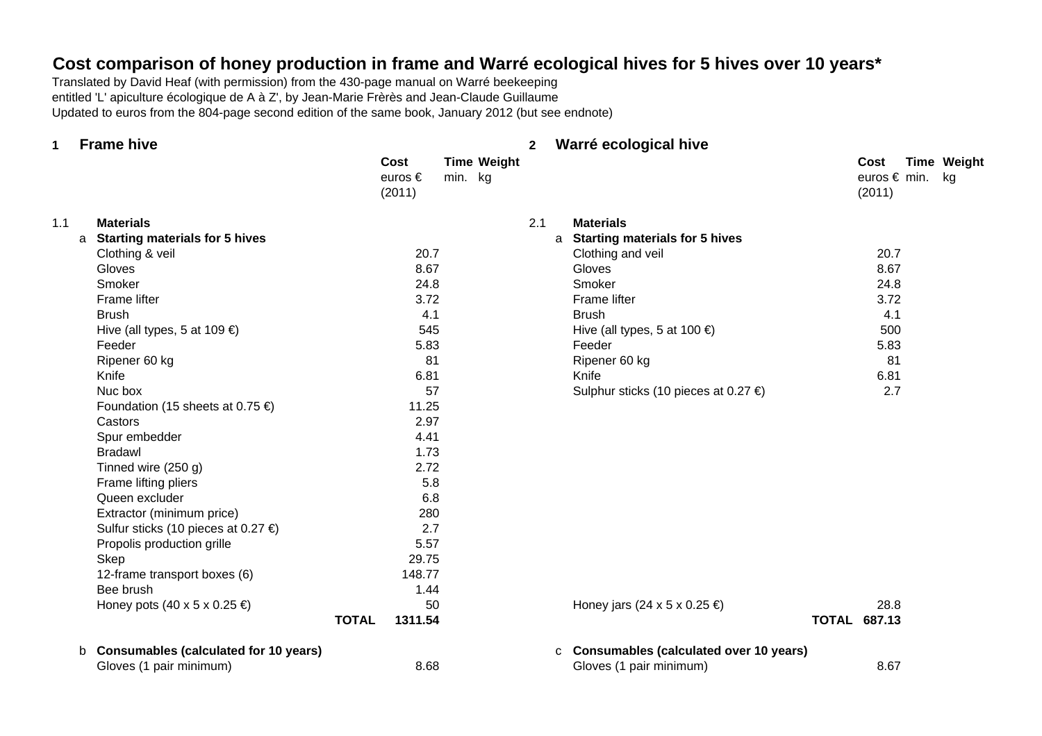# **Cost comparison of honey production in frame and Warré ecological hives for 5 hives over 10 years\***

Translated by David Heaf (with permission) from the 430-page manual on Warré beekeeping entitled 'L' apiculture écologique de A à Z', by Jean-Marie Frèrès and Jean-Claude Guillaume Updated to euros from the 804-page second edition of the same book, January 2012 (but see endnote)

| 1   | <b>Frame hive</b>                          |              |                           |         |                    | $\mathbf{2}$ | Warré ecological hive                    |                                   |                    |
|-----|--------------------------------------------|--------------|---------------------------|---------|--------------------|--------------|------------------------------------------|-----------------------------------|--------------------|
|     |                                            |              | Cost<br>euros €<br>(2011) | min. kg | <b>Time Weight</b> |              |                                          | Cost<br>euros € min. kg<br>(2011) | <b>Time Weight</b> |
| 1.1 | <b>Materials</b>                           |              |                           |         |                    | 2.1          | <b>Materials</b>                         |                                   |                    |
|     | <b>Starting materials for 5 hives</b><br>a |              |                           |         |                    |              | a Starting materials for 5 hives         |                                   |                    |
|     | Clothing & veil                            |              | 20.7                      |         |                    |              | Clothing and veil                        | 20.7                              |                    |
|     | Gloves                                     |              | 8.67                      |         |                    |              | Gloves                                   | 8.67                              |                    |
|     | Smoker                                     |              | 24.8                      |         |                    |              | Smoker                                   | 24.8                              |                    |
|     | Frame lifter                               |              | 3.72                      |         |                    |              | Frame lifter                             | 3.72                              |                    |
|     | <b>Brush</b>                               |              | 4.1                       |         |                    |              | <b>Brush</b>                             | 4.1                               |                    |
|     | Hive (all types, 5 at 109 $\epsilon$ )     |              | 545                       |         |                    |              | Hive (all types, 5 at 100 $\epsilon$ )   | 500                               |                    |
|     | Feeder                                     |              | 5.83                      |         |                    |              | Feeder                                   | 5.83                              |                    |
|     | Ripener 60 kg                              |              | 81                        |         |                    |              | Ripener 60 kg                            | 81                                |                    |
|     | Knife                                      |              | 6.81                      |         |                    |              | Knife                                    | 6.81                              |                    |
|     | Nuc box                                    |              | 57                        |         |                    |              | Sulphur sticks (10 pieces at 0.27 €)     | 2.7                               |                    |
|     | Foundation (15 sheets at 0.75 €)           |              | 11.25                     |         |                    |              |                                          |                                   |                    |
|     | Castors                                    |              | 2.97                      |         |                    |              |                                          |                                   |                    |
|     | Spur embedder                              |              | 4.41                      |         |                    |              |                                          |                                   |                    |
|     | <b>Bradawl</b>                             |              | 1.73                      |         |                    |              |                                          |                                   |                    |
|     | Tinned wire (250 g)                        |              | 2.72                      |         |                    |              |                                          |                                   |                    |
|     | Frame lifting pliers                       |              | 5.8                       |         |                    |              |                                          |                                   |                    |
|     | Queen excluder                             |              | 6.8                       |         |                    |              |                                          |                                   |                    |
|     | Extractor (minimum price)                  |              | 280                       |         |                    |              |                                          |                                   |                    |
|     | Sulfur sticks (10 pieces at 0.27 €)        |              | 2.7                       |         |                    |              |                                          |                                   |                    |
|     | Propolis production grille                 |              | 5.57                      |         |                    |              |                                          |                                   |                    |
|     | Skep                                       |              | 29.75                     |         |                    |              |                                          |                                   |                    |
|     | 12-frame transport boxes (6)               |              | 148.77                    |         |                    |              |                                          |                                   |                    |
|     | Bee brush                                  |              | 1.44                      |         |                    |              |                                          |                                   |                    |
|     | Honey pots $(40 \times 5 \times 0.25 \in)$ |              | 50                        |         |                    |              | Honey jars (24 x 5 x 0.25 $\epsilon$ )   | 28.8                              |                    |
|     |                                            | <b>TOTAL</b> | 1311.54                   |         |                    |              |                                          | <b>TOTAL 687.13</b>               |                    |
|     | b Consumables (calculated for 10 years)    |              |                           |         |                    |              | c Consumables (calculated over 10 years) |                                   |                    |
|     | Gloves (1 pair minimum)                    |              | 8.68                      |         |                    |              | Gloves (1 pair minimum)                  | 8.67                              |                    |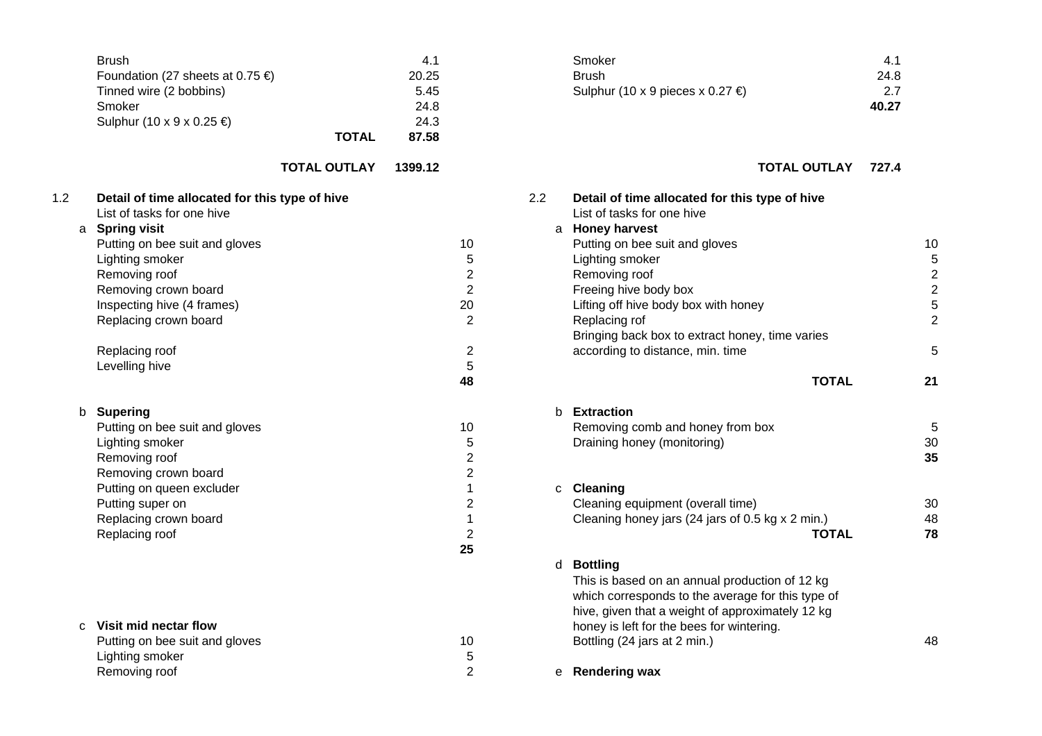|     | <b>Brush</b><br>Foundation (27 sheets at 0.75 €)<br>Tinned wire (2 bobbins)<br>Smoker<br>Sulphur (10 x 9 x 0.25 €)                                                                                                                                                                      | <b>TOTAL</b>        | 4.1<br>20.25<br>5.45<br>24.8<br>24.3<br>87.58 |                                                                                        | Smoker<br><b>Brush</b><br>Sulphur (10 x 9 pieces x 0.27 €)                                                                                                                                                                                                                                                                                     | 4.1<br>24.8<br>2.7<br>40.27 |
|-----|-----------------------------------------------------------------------------------------------------------------------------------------------------------------------------------------------------------------------------------------------------------------------------------------|---------------------|-----------------------------------------------|----------------------------------------------------------------------------------------|------------------------------------------------------------------------------------------------------------------------------------------------------------------------------------------------------------------------------------------------------------------------------------------------------------------------------------------------|-----------------------------|
|     |                                                                                                                                                                                                                                                                                         | <b>TOTAL OUTLAY</b> | 1399.12                                       |                                                                                        | <b>TOTAL OUTLAY</b>                                                                                                                                                                                                                                                                                                                            | 727.4                       |
| 1.2 | Detail of time allocated for this type of hive<br>List of tasks for one hive<br>a Spring visit<br>Putting on bee suit and gloves<br>Lighting smoker<br>Removing roof<br>Removing crown board<br>Inspecting hive (4 frames)<br>Replacing crown board<br>Replacing roof<br>Levelling hive |                     | 10<br>20                                      | 2.2<br>5<br>$\overline{2}$<br>$\overline{2}$<br>$\overline{2}$<br>$\overline{2}$<br>5  | Detail of time allocated for this type of hive<br>List of tasks for one hive<br>a Honey harvest<br>Putting on bee suit and gloves<br>Lighting smoker<br>Removing roof<br>Freeing hive body box<br>Lifting off hive body box with honey<br>Replacing rof<br>Bringing back box to extract honey, time varies<br>according to distance, min. time |                             |
|     |                                                                                                                                                                                                                                                                                         |                     | 48                                            |                                                                                        | <b>TOTAL</b>                                                                                                                                                                                                                                                                                                                                   |                             |
| b   | <b>Supering</b><br>Putting on bee suit and gloves<br>Lighting smoker<br>Removing roof<br>Removing crown board<br>Putting on queen excluder<br>Putting super on                                                                                                                          |                     | 10                                            | 5<br>$\overline{2}$<br>$\overline{2}$<br>$\mathbf 1$<br>$\mathbf{C}$<br>$\overline{2}$ | b <b>Extraction</b><br>Removing comb and honey from box<br>Draining honey (monitoring)<br><b>Cleaning</b><br>Cleaning equipment (overall time)                                                                                                                                                                                                 |                             |
|     | Replacing crown board<br>Replacing roof                                                                                                                                                                                                                                                 |                     | 25                                            | $\mathbf{1}$<br>$\overline{2}$                                                         | Cleaning honey jars (24 jars of 0.5 kg x 2 min.)<br><b>TOTAL</b>                                                                                                                                                                                                                                                                               |                             |
| C   | Visit mid nectar flow<br>Putting on bee suit and gloves<br>Lighting smoker<br>Removing roof                                                                                                                                                                                             |                     | 10                                            | 5<br>$\overline{2}$                                                                    | d Bottling<br>This is based on an annual production of 12 kg<br>which corresponds to the average for this type of<br>hive, given that a weight of approximately 12 kg<br>honey is left for the bees for wintering.<br>Bottling (24 jars at 2 min.)<br>e Rendering wax                                                                          |                             |

| Smoker                           | 41    |
|----------------------------------|-------|
| <b>Brush</b>                     | 24.8  |
| Sulphur (10 x 9 pieces x 0.27 €) | 27    |
|                                  | 40.27 |

# **TOTAL OUTLAY 1399.12 TOTAL OUTLAY 727.4**

| List of tasks for one hive                       |                                                                                                                                                                                                                                                                                                                                                                                                                                     |
|--------------------------------------------------|-------------------------------------------------------------------------------------------------------------------------------------------------------------------------------------------------------------------------------------------------------------------------------------------------------------------------------------------------------------------------------------------------------------------------------------|
|                                                  |                                                                                                                                                                                                                                                                                                                                                                                                                                     |
| Putting on bee suit and gloves                   | 10                                                                                                                                                                                                                                                                                                                                                                                                                                  |
| Lighting smoker                                  | 5                                                                                                                                                                                                                                                                                                                                                                                                                                   |
| Removing roof                                    | $\overline{c}$                                                                                                                                                                                                                                                                                                                                                                                                                      |
| Freeing hive body box                            | $\overline{c}$                                                                                                                                                                                                                                                                                                                                                                                                                      |
| Lifting off hive body box with honey             | 5                                                                                                                                                                                                                                                                                                                                                                                                                                   |
|                                                  |                                                                                                                                                                                                                                                                                                                                                                                                                                     |
|                                                  |                                                                                                                                                                                                                                                                                                                                                                                                                                     |
| according to distance, min. time                 | 5                                                                                                                                                                                                                                                                                                                                                                                                                                   |
|                                                  |                                                                                                                                                                                                                                                                                                                                                                                                                                     |
| <b>TOTAL</b>                                     | 21                                                                                                                                                                                                                                                                                                                                                                                                                                  |
|                                                  |                                                                                                                                                                                                                                                                                                                                                                                                                                     |
| Removing comb and honey from box                 | 5                                                                                                                                                                                                                                                                                                                                                                                                                                   |
|                                                  | 30                                                                                                                                                                                                                                                                                                                                                                                                                                  |
|                                                  | 35                                                                                                                                                                                                                                                                                                                                                                                                                                  |
|                                                  |                                                                                                                                                                                                                                                                                                                                                                                                                                     |
|                                                  |                                                                                                                                                                                                                                                                                                                                                                                                                                     |
| Cleaning equipment (overall time)                | 30                                                                                                                                                                                                                                                                                                                                                                                                                                  |
| Cleaning honey jars (24 jars of 0.5 kg x 2 min.) | 48                                                                                                                                                                                                                                                                                                                                                                                                                                  |
| <b>TOTAL</b>                                     | 78                                                                                                                                                                                                                                                                                                                                                                                                                                  |
|                                                  |                                                                                                                                                                                                                                                                                                                                                                                                                                     |
|                                                  |                                                                                                                                                                                                                                                                                                                                                                                                                                     |
|                                                  |                                                                                                                                                                                                                                                                                                                                                                                                                                     |
|                                                  |                                                                                                                                                                                                                                                                                                                                                                                                                                     |
|                                                  |                                                                                                                                                                                                                                                                                                                                                                                                                                     |
|                                                  |                                                                                                                                                                                                                                                                                                                                                                                                                                     |
|                                                  | 48                                                                                                                                                                                                                                                                                                                                                                                                                                  |
|                                                  |                                                                                                                                                                                                                                                                                                                                                                                                                                     |
|                                                  |                                                                                                                                                                                                                                                                                                                                                                                                                                     |
|                                                  | a Honey harvest<br>Replacing rof<br>Bringing back box to extract honey, time varies<br>b Extraction<br>Draining honey (monitoring)<br>c Cleaning<br><b>Bottling</b><br>d<br>This is based on an annual production of 12 kg<br>which corresponds to the average for this type of<br>hive, given that a weight of approximately 12 kg<br>honey is left for the bees for wintering.<br>Bottling (24 jars at 2 min.)<br>e Rendering wax |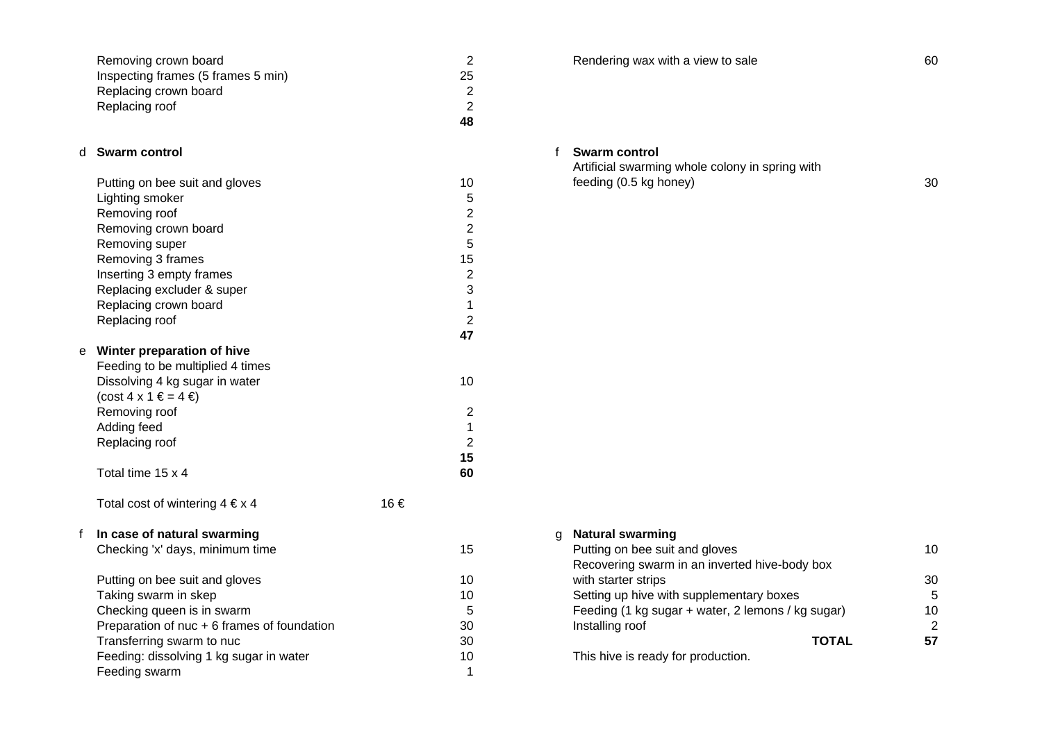| Removing crown board               |    |
|------------------------------------|----|
| Inspecting frames (5 frames 5 min) | 25 |
| Replacing crown board              |    |
| Replacing roof                     |    |
|                                    | 48 |

## d **Swarm control**

|   | Putting on bee suit and gloves           | 10 |
|---|------------------------------------------|----|
|   | Lighting smoker                          | 5  |
|   | Removing roof                            | 2  |
|   | Removing crown board                     | 2  |
|   | Removing super                           | 5  |
|   | Removing 3 frames                        | 15 |
|   | Inserting 3 empty frames                 | 2  |
|   | Replacing excluder & super               | 3  |
|   | Replacing crown board                    | 1  |
|   | Replacing roof                           | 2  |
|   |                                          | 47 |
| е | Winter preparation of hive               |    |
|   | Francisco de la partidad de la distincia |    |

| Feeding to be multiplied 4 times        |    |
|-----------------------------------------|----|
| Dissolving 4 kg sugar in water          | 10 |
| $(\text{cost } 4 \times 1 \in = 4 \in)$ |    |
| Removing roof                           | 2  |
| Adding feed                             | 1  |
| Replacing roof                          | 2  |
|                                         | 15 |
| Total time 15 x 4                       | 60 |

Total cost of wintering  $4 \in x$  4 16  $\in$ 

f **In case of natural swarming**

| Putting on bee suit and gloves              | 10 | with starter strips                       |
|---------------------------------------------|----|-------------------------------------------|
| Taking swarm in skep                        | 10 | Setting up hive with supplementary boxes  |
| Checking queen is in swarm                  | 5  | Feeding (1 kg sugar + water, 2 lemons / k |
| Preparation of nuc + 6 frames of foundation | 30 | Installing roof                           |
| Transferring swarm to nuc                   | 30 |                                           |
| Feeding: dissolving 1 kg sugar in water     | 10 | This hive is ready for production.        |
| Feeding swarm                               |    |                                           |

**2** Rendering wax with a view to sale 60

## f **Swarm control**

Artificial swarming whole colony in spring with feeding (0.5 kg honey) 30

| In case of natural swarming                 |    | g Natural swarming                                |                      |
|---------------------------------------------|----|---------------------------------------------------|----------------------|
| Checking 'x' days, minimum time             | 15 | Putting on bee suit and gloves                    | 10                   |
|                                             |    | Recovering swarm in an inverted hive-body box     |                      |
| Putting on bee suit and gloves              | 10 | with starter strips                               | 30                   |
| Taking swarm in skep                        | 10 | Setting up hive with supplementary boxes          | 5                    |
| Checking queen is in swarm                  |    | Feeding (1 kg sugar + water, 2 lemons / kg sugar) | 10 <sup>°</sup>      |
| Preparation of nuc + 6 frames of foundation | 30 | Installing roof                                   | $\mathcal{P} \equiv$ |
| Transferring swarm to nuc                   | 30 | <b>TOTAL</b>                                      | 57                   |
| Feeding: dissolving 1 kg sugar in water     | 10 | This hive is ready for production.                |                      |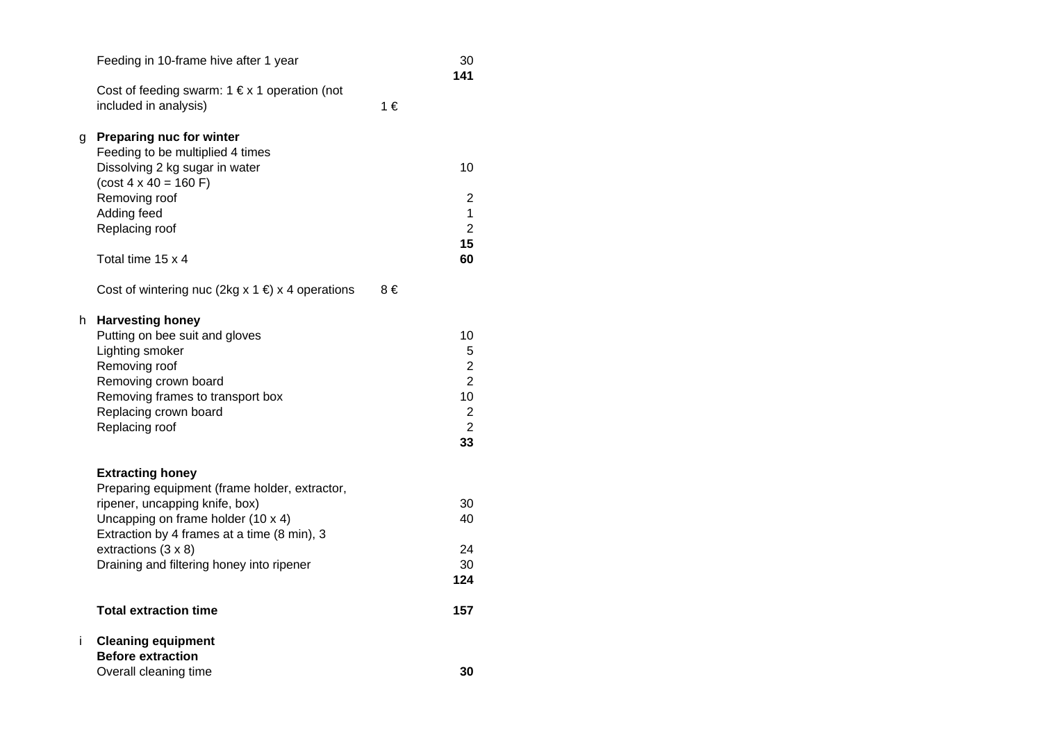|    | Feeding in 10-frame hive after 1 year                                             |    | 30<br>141                        |
|----|-----------------------------------------------------------------------------------|----|----------------------------------|
|    | Cost of feeding swarm: $1 \notin x 1$ operation (not<br>included in analysis)     | 1€ |                                  |
| g  | <b>Preparing nuc for winter</b><br>Feeding to be multiplied 4 times               |    |                                  |
|    | Dissolving 2 kg sugar in water<br>$(cost 4 \times 40 = 160 F)$                    |    | 10                               |
|    | Removing roof                                                                     |    | 2                                |
|    | Adding feed<br>Replacing roof                                                     |    | 1<br>$\overline{2}$              |
|    | Total time 15 x 4                                                                 |    | 15<br>60                         |
|    | Cost of wintering nuc (2kg x 1 $\in$ ) x 4 operations                             | 8€ |                                  |
| h  | <b>Harvesting honey</b><br>Putting on bee suit and gloves                         |    | 10                               |
|    | Lighting smoker                                                                   |    | 5                                |
|    | Removing roof<br>Removing crown board                                             |    | $\overline{c}$<br>$\overline{2}$ |
|    | Removing frames to transport box                                                  |    | 10                               |
|    | Replacing crown board<br>Replacing roof                                           |    | $\overline{c}$<br>$\overline{2}$ |
|    |                                                                                   |    | 33                               |
|    | <b>Extracting honey</b><br>Preparing equipment (frame holder, extractor,          |    |                                  |
|    | ripener, uncapping knife, box)                                                    |    | 30                               |
|    | Uncapping on frame holder (10 x 4)<br>Extraction by 4 frames at a time (8 min), 3 |    | 40                               |
|    | extractions (3 x 8)                                                               |    | 24                               |
|    | Draining and filtering honey into ripener                                         |    | 30<br>124                        |
|    | <b>Total extraction time</b>                                                      |    | 157                              |
| i. | <b>Cleaning equipment</b><br><b>Before extraction</b>                             |    |                                  |
|    | Overall cleaning time                                                             |    | 30                               |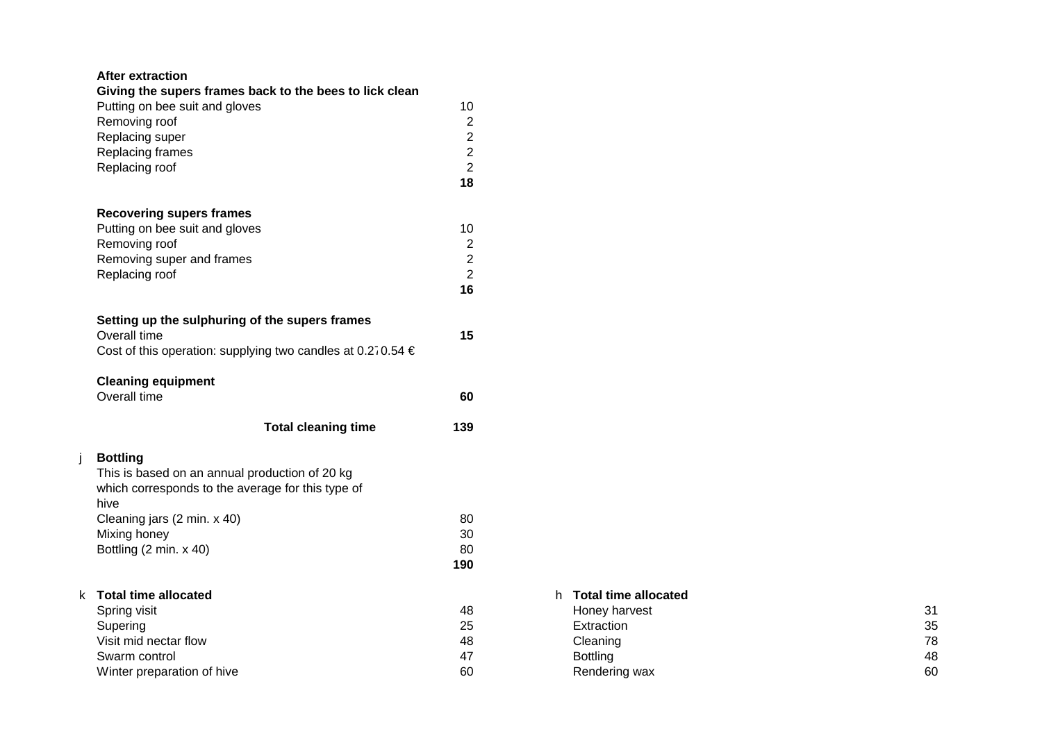# **After extraction**

| Giving the supers frames back to the bees to lick clean         |                  |                        |    |
|-----------------------------------------------------------------|------------------|------------------------|----|
| Putting on bee suit and gloves                                  | 10               |                        |    |
| Removing roof                                                   | $\boldsymbol{2}$ |                        |    |
| Replacing super                                                 | $\boldsymbol{2}$ |                        |    |
| Replacing frames                                                | $\overline{2}$   |                        |    |
| Replacing roof                                                  | $\overline{c}$   |                        |    |
|                                                                 | 18               |                        |    |
| <b>Recovering supers frames</b>                                 |                  |                        |    |
| Putting on bee suit and gloves                                  | 10               |                        |    |
| Removing roof                                                   | $\overline{c}$   |                        |    |
| Removing super and frames                                       | $\overline{2}$   |                        |    |
| Replacing roof                                                  | $\overline{2}$   |                        |    |
|                                                                 | 16               |                        |    |
| Setting up the sulphuring of the supers frames                  |                  |                        |    |
| Overall time                                                    | 15               |                        |    |
| Cost of this operation: supplying two candles at 0.270.54 $\in$ |                  |                        |    |
| <b>Cleaning equipment</b>                                       |                  |                        |    |
| Overall time                                                    | 60               |                        |    |
| <b>Total cleaning time</b>                                      | 139              |                        |    |
|                                                                 |                  |                        |    |
| <b>Bottling</b>                                                 |                  |                        |    |
| This is based on an annual production of 20 kg                  |                  |                        |    |
| which corresponds to the average for this type of               |                  |                        |    |
| hive                                                            |                  |                        |    |
| Cleaning jars (2 min. x 40)                                     | 80               |                        |    |
| Mixing honey                                                    | 30               |                        |    |
| Bottling (2 min. x 40)                                          | 80               |                        |    |
|                                                                 | 190              |                        |    |
| k Total time allocated                                          |                  | h Total time allocated |    |
| Spring visit                                                    | 48               | Honey harvest          | 31 |
| Supering                                                        | 25               | Extraction             | 35 |
| Visit mid nectar flow                                           | 48               | Cleaning               | 78 |
| Swarm control                                                   | 47               | <b>Bottling</b>        | 48 |
| Winter preparation of hive                                      | 60               | Rendering wax          | 60 |

# h **Total time allocated**

| Honey harvest   | 31 |
|-----------------|----|
| Extraction      | 35 |
| Cleaning        | 78 |
| <b>Bottling</b> | 48 |
| Rendering wax   | 60 |
|                 |    |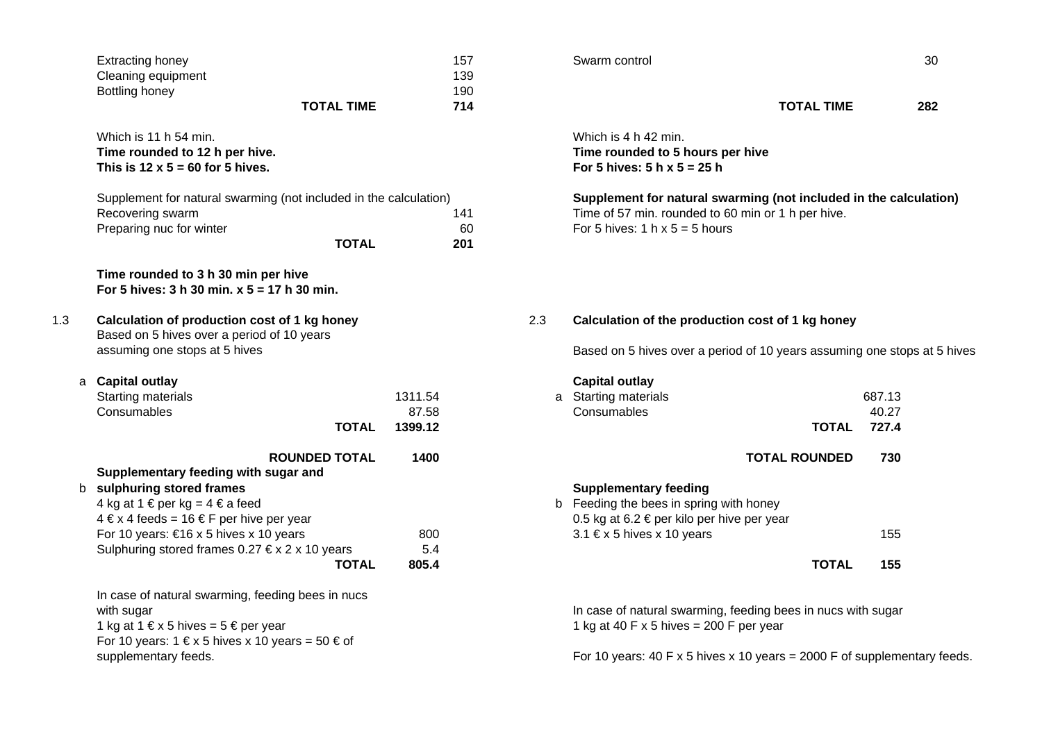|     | <b>Extracting honey</b>                                                                    | 157     |     | Swarm control                                                    |                   | 30    |  |
|-----|--------------------------------------------------------------------------------------------|---------|-----|------------------------------------------------------------------|-------------------|-------|--|
|     | Cleaning equipment                                                                         | 139     |     |                                                                  |                   |       |  |
|     | Bottling honey                                                                             | 190     |     |                                                                  |                   |       |  |
|     | <b>TOTAL TIME</b>                                                                          | 714     |     |                                                                  | <b>TOTAL TIME</b> | 282   |  |
|     | Which is 11 h 54 min.                                                                      |         |     | Which is 4 h 42 min.                                             |                   |       |  |
|     | Time rounded to 12 h per hive.                                                             |         |     | Time rounded to 5 hours per hive                                 |                   |       |  |
|     | This is $12 \times 5 = 60$ for 5 hives.                                                    |         |     | For 5 hives: $5 h \times 5 = 25 h$                               |                   |       |  |
|     | Supplement for natural swarming (not included in the calculation)                          |         |     | Supplement for natural swarming (not included in the calculat    |                   |       |  |
|     | Recovering swarm                                                                           | 141     |     | Time of 57 min. rounded to 60 min or 1 h per hive.               |                   |       |  |
|     | Preparing nuc for winter                                                                   | 60      |     | For 5 hives: $1 h \times 5 = 5 hours$                            |                   |       |  |
|     | <b>TOTAL</b>                                                                               | 201     |     |                                                                  |                   |       |  |
|     | Time rounded to 3 h 30 min per hive                                                        |         |     |                                                                  |                   |       |  |
|     | For 5 hives: $3 h 30 min. x 5 = 17 h 30 min.$                                              |         |     |                                                                  |                   |       |  |
| 1.3 | Calculation of production cost of 1 kg honey<br>Based on 5 hives over a period of 10 years |         | 2.3 | Calculation of the production cost of 1 kg honey                 |                   |       |  |
|     | assuming one stops at 5 hives                                                              |         |     | Based on 5 hives over a period of 10 years assuming one stops at |                   |       |  |
| a   | <b>Capital outlay</b>                                                                      |         |     | <b>Capital outlay</b>                                            |                   |       |  |
|     | Starting materials                                                                         | 1311.54 |     | <b>Starting materials</b>                                        | 687.13            |       |  |
|     | Consumables                                                                                | 87.58   |     | Consumables                                                      |                   | 40.27 |  |
|     |                                                                                            |         |     |                                                                  |                   |       |  |

| <b>ROUNDED TOTAL</b>                                                                       | 1400  | <b>TOTAL ROUNDED</b>                                         | 730 |
|--------------------------------------------------------------------------------------------|-------|--------------------------------------------------------------|-----|
| Supplementary feeding with sugar and                                                       |       |                                                              |     |
| b sulphuring stored frames                                                                 |       | <b>Supplementary feeding</b>                                 |     |
| 4 kg at 1 € per kg = 4 € a feed                                                            |       | b Feeding the bees in spring with honey                      |     |
| $4 \in x$ 4 feeds = 16 $\in$ F per hive per year                                           |       | 0.5 kg at 6.2 € per kilo per hive per year                   |     |
| For 10 years: $\epsilon$ 16 x 5 hives x 10 years                                           | 800   | $3.1 \text{ } \in \mathsf{x}$ 5 hives x 10 years             | 155 |
| Sulphuring stored frames $0.27 \text{ } \in \text{x} 2 \text{ } \text{x} 10 \text{ years}$ | 5.4   |                                                              |     |
| TOTAL                                                                                      | 805.4 | TOTAL                                                        | 155 |
| In case of natural swarming, feeding bees in nucs                                          |       |                                                              |     |
| with sugar                                                                                 |       | In case of natural swarming, feeding bees in nucs with sugar |     |
|                                                                                            |       |                                                              |     |

For 10 years:  $1 \n\in x 5$  hives x 10 years =  $50 \n\in \text{of}$ 

Supplement for natural swarming (not included in the calculation) Time of 57 min. rounded to 60 min or 1 h per hive. For 5 hives: 1 h  $x$  5 = 5 hours

Based on 5 hives over a period of 10 years assuming one stops at 5 hives

|                                   |         | <b>Capital outlay</b>                      |                      |        |  |
|-----------------------------------|---------|--------------------------------------------|----------------------|--------|--|
|                                   | 1311.54 | a Starting materials                       |                      | 687.13 |  |
|                                   | 87.58   | Consumables                                |                      | 40.27  |  |
| <b>TOTAL</b>                      | 1399.12 |                                            | <b>TOTAL</b>         | 727.4  |  |
| <b>ROUNDED TOTAL</b><br>sugar and | 1400    |                                            | <b>TOTAL ROUNDED</b> | 730    |  |
|                                   |         | <b>Supplementary feeding</b>               |                      |        |  |
|                                   |         | b Feeding the bees in spring with honey    |                      |        |  |
| per year                          |         | 0.5 kg at 6.2 € per kilo per hive per year |                      |        |  |
| ) years                           | 800     | 3.1 € x 5 hives x 10 years                 |                      | 155    |  |
| $\epsilon$ x 2 x 10 years         | 5.4     |                                            |                      |        |  |
| <b>TOTAL</b>                      | 805.4   |                                            | <b>TOTAL</b>         | 155    |  |
| eding bees in nucs                |         |                                            |                      |        |  |

In case of natural swarming, feeding bees in nucs with sugar 1 kg at 1 € x 5 hives = 5 € per year 1 kg at 40 F x 5 hives = 200 F per year

supplementary feeds. The supplementary feeds. For 10 years: 40 F x 5 hives x 10 years = 2000 F of supplementary feeds.